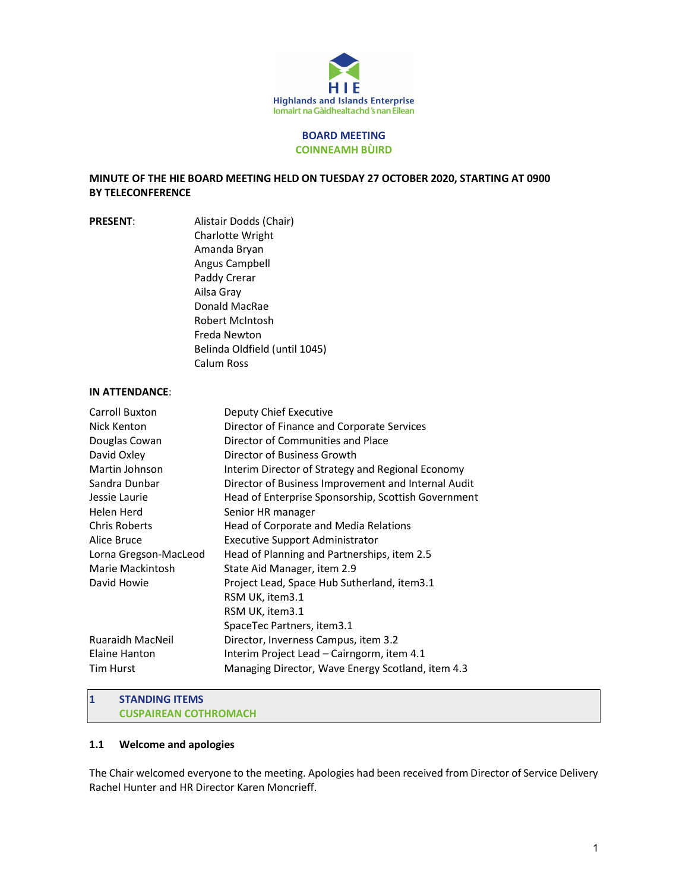

#### BOARD MEETING COINNEAMH BÙIRD

### MINUTE OF THE HIE BOARD MEETING HELD ON TUESDAY 27 OCTOBER 2020, STARTING AT 0900 BY TELECONFERENCE

PRESENT: Alistair Dodds (Chair) Charlotte Wright Amanda Bryan Angus Campbell Paddy Crerar Ailsa Gray Donald MacRae Robert McIntosh Freda Newton Belinda Oldfield (until 1045) Calum Ross

## IN ATTENDANCE:

| Deputy Chief Executive                              |
|-----------------------------------------------------|
| Director of Finance and Corporate Services          |
| Director of Communities and Place                   |
| Director of Business Growth                         |
| Interim Director of Strategy and Regional Economy   |
| Director of Business Improvement and Internal Audit |
| Head of Enterprise Sponsorship, Scottish Government |
| Senior HR manager                                   |
| Head of Corporate and Media Relations               |
| <b>Executive Support Administrator</b>              |
| Head of Planning and Partnerships, item 2.5         |
| State Aid Manager, item 2.9                         |
| Project Lead, Space Hub Sutherland, item3.1         |
| RSM UK, item3.1                                     |
| RSM UK, item3.1                                     |
| SpaceTec Partners, item3.1                          |
| Director, Inverness Campus, item 3.2                |
| Interim Project Lead – Cairngorm, item 4.1          |
| Managing Director, Wave Energy Scotland, item 4.3   |
|                                                     |

#### 1 STANDING ITEMS CUSPAIREAN COTHROMACH

#### 1.1 Welcome and apologies

The Chair welcomed everyone to the meeting. Apologies had been received from Director of Service Delivery Rachel Hunter and HR Director Karen Moncrieff.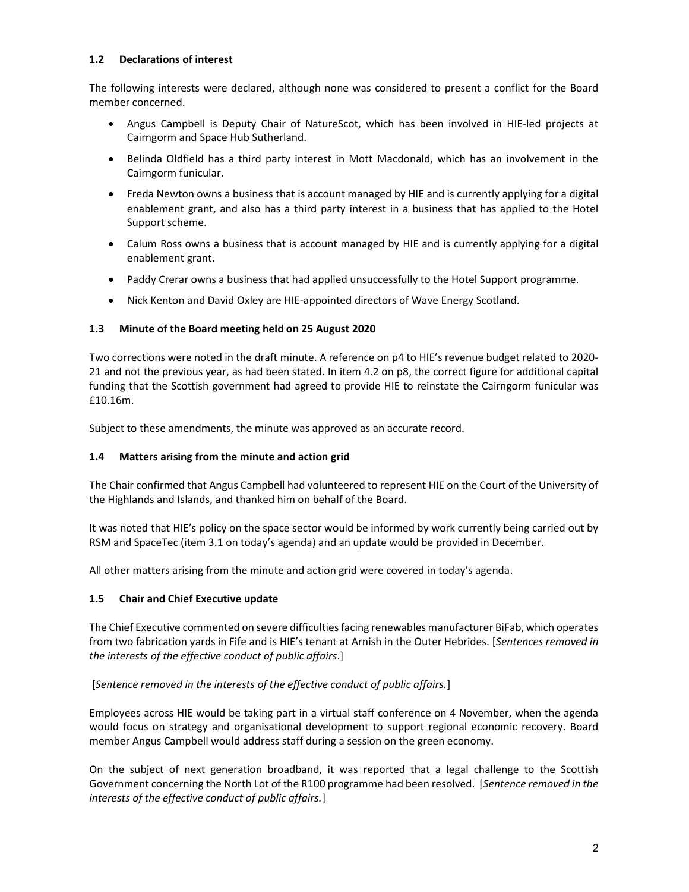### 1.2 Declarations of interest

The following interests were declared, although none was considered to present a conflict for the Board member concerned.

- Angus Campbell is Deputy Chair of NatureScot, which has been involved in HIE-led projects at Cairngorm and Space Hub Sutherland.
- Belinda Oldfield has a third party interest in Mott Macdonald, which has an involvement in the Cairngorm funicular.
- Freda Newton owns a business that is account managed by HIE and is currently applying for a digital enablement grant, and also has a third party interest in a business that has applied to the Hotel Support scheme.
- Calum Ross owns a business that is account managed by HIE and is currently applying for a digital enablement grant.
- Paddy Crerar owns a business that had applied unsuccessfully to the Hotel Support programme.
- Nick Kenton and David Oxley are HIE-appointed directors of Wave Energy Scotland.

### 1.3 Minute of the Board meeting held on 25 August 2020

Two corrections were noted in the draft minute. A reference on p4 to HIE's revenue budget related to 2020- 21 and not the previous year, as had been stated. In item 4.2 on p8, the correct figure for additional capital funding that the Scottish government had agreed to provide HIE to reinstate the Cairngorm funicular was £10.16m.

Subject to these amendments, the minute was approved as an accurate record.

#### 1.4 Matters arising from the minute and action grid

The Chair confirmed that Angus Campbell had volunteered to represent HIE on the Court of the University of the Highlands and Islands, and thanked him on behalf of the Board.

It was noted that HIE's policy on the space sector would be informed by work currently being carried out by RSM and SpaceTec (item 3.1 on today's agenda) and an update would be provided in December.

All other matters arising from the minute and action grid were covered in today's agenda.

## 1.5 Chair and Chief Executive update

The Chief Executive commented on severe difficulties facing renewables manufacturer BiFab, which operates from two fabrication yards in Fife and is HIE's tenant at Arnish in the Outer Hebrides. [Sentences removed in the interests of the effective conduct of public affairs.]

## [Sentence removed in the interests of the effective conduct of public affairs.]

Employees across HIE would be taking part in a virtual staff conference on 4 November, when the agenda would focus on strategy and organisational development to support regional economic recovery. Board member Angus Campbell would address staff during a session on the green economy.

On the subject of next generation broadband, it was reported that a legal challenge to the Scottish Government concerning the North Lot of the R100 programme had been resolved. [Sentence removed in the interests of the effective conduct of public affairs.]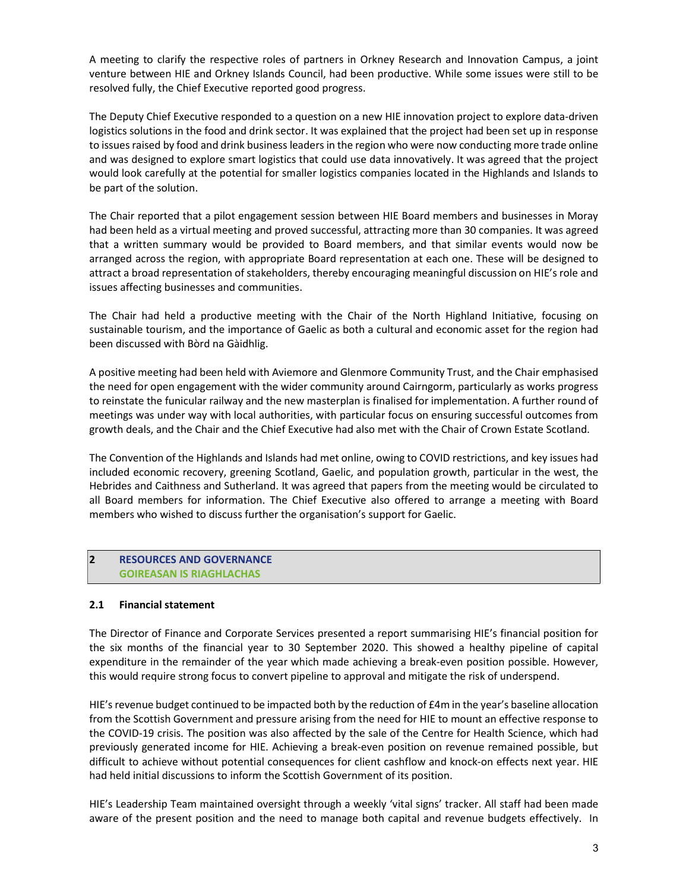A meeting to clarify the respective roles of partners in Orkney Research and Innovation Campus, a joint venture between HIE and Orkney Islands Council, had been productive. While some issues were still to be resolved fully, the Chief Executive reported good progress.

The Deputy Chief Executive responded to a question on a new HIE innovation project to explore data-driven logistics solutions in the food and drink sector. It was explained that the project had been set up in response to issues raised by food and drink business leaders in the region who were now conducting more trade online and was designed to explore smart logistics that could use data innovatively. It was agreed that the project would look carefully at the potential for smaller logistics companies located in the Highlands and Islands to be part of the solution.

The Chair reported that a pilot engagement session between HIE Board members and businesses in Moray had been held as a virtual meeting and proved successful, attracting more than 30 companies. It was agreed that a written summary would be provided to Board members, and that similar events would now be arranged across the region, with appropriate Board representation at each one. These will be designed to attract a broad representation of stakeholders, thereby encouraging meaningful discussion on HIE's role and issues affecting businesses and communities.

The Chair had held a productive meeting with the Chair of the North Highland Initiative, focusing on sustainable tourism, and the importance of Gaelic as both a cultural and economic asset for the region had been discussed with Bòrd na Gàidhlig.

A positive meeting had been held with Aviemore and Glenmore Community Trust, and the Chair emphasised the need for open engagement with the wider community around Cairngorm, particularly as works progress to reinstate the funicular railway and the new masterplan is finalised for implementation. A further round of meetings was under way with local authorities, with particular focus on ensuring successful outcomes from growth deals, and the Chair and the Chief Executive had also met with the Chair of Crown Estate Scotland.

The Convention of the Highlands and Islands had met online, owing to COVID restrictions, and key issues had included economic recovery, greening Scotland, Gaelic, and population growth, particular in the west, the Hebrides and Caithness and Sutherland. It was agreed that papers from the meeting would be circulated to all Board members for information. The Chief Executive also offered to arrange a meeting with Board members who wished to discuss further the organisation's support for Gaelic.

## 2 RESOURCES AND GOVERNANCE GOIREASAN IS RIAGHLACHAS

#### 2.1 Financial statement

The Director of Finance and Corporate Services presented a report summarising HIE's financial position for the six months of the financial year to 30 September 2020. This showed a healthy pipeline of capital expenditure in the remainder of the year which made achieving a break-even position possible. However, this would require strong focus to convert pipeline to approval and mitigate the risk of underspend.

HIE's revenue budget continued to be impacted both by the reduction of £4m in the year's baseline allocation from the Scottish Government and pressure arising from the need for HIE to mount an effective response to the COVID-19 crisis. The position was also affected by the sale of the Centre for Health Science, which had previously generated income for HIE. Achieving a break-even position on revenue remained possible, but difficult to achieve without potential consequences for client cashflow and knock-on effects next year. HIE had held initial discussions to inform the Scottish Government of its position.

HIE's Leadership Team maintained oversight through a weekly 'vital signs' tracker. All staff had been made aware of the present position and the need to manage both capital and revenue budgets effectively. In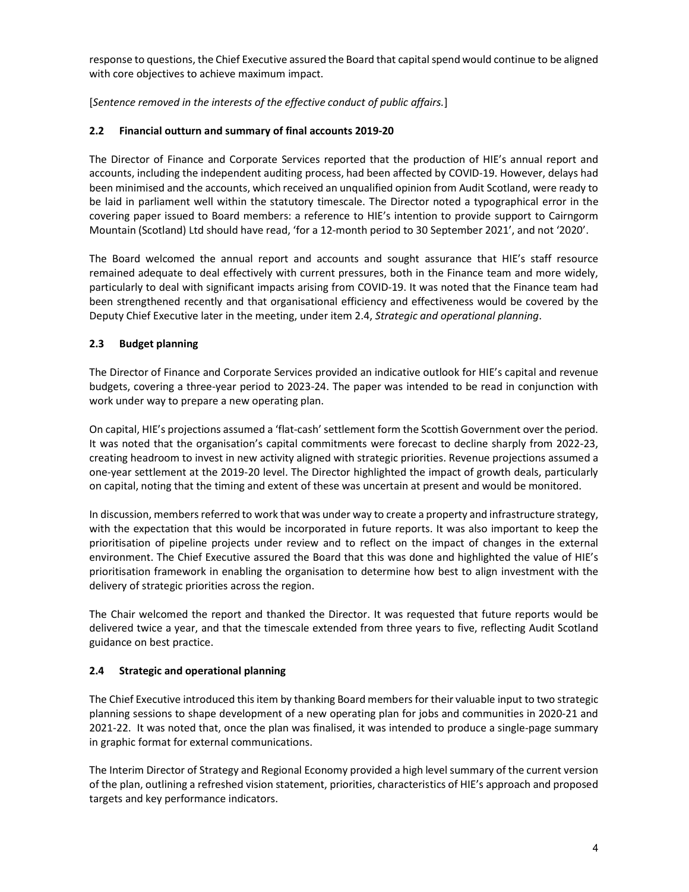response to questions, the Chief Executive assured the Board that capital spend would continue to be aligned with core objectives to achieve maximum impact.

[Sentence removed in the interests of the effective conduct of public affairs.]

# 2.2 Financial outturn and summary of final accounts 2019-20

The Director of Finance and Corporate Services reported that the production of HIE's annual report and accounts, including the independent auditing process, had been affected by COVID-19. However, delays had been minimised and the accounts, which received an unqualified opinion from Audit Scotland, were ready to be laid in parliament well within the statutory timescale. The Director noted a typographical error in the covering paper issued to Board members: a reference to HIE's intention to provide support to Cairngorm Mountain (Scotland) Ltd should have read, 'for a 12-month period to 30 September 2021', and not '2020'.

The Board welcomed the annual report and accounts and sought assurance that HIE's staff resource remained adequate to deal effectively with current pressures, both in the Finance team and more widely, particularly to deal with significant impacts arising from COVID-19. It was noted that the Finance team had been strengthened recently and that organisational efficiency and effectiveness would be covered by the Deputy Chief Executive later in the meeting, under item 2.4, Strategic and operational planning.

# 2.3 Budget planning

The Director of Finance and Corporate Services provided an indicative outlook for HIE's capital and revenue budgets, covering a three-year period to 2023-24. The paper was intended to be read in conjunction with work under way to prepare a new operating plan.

On capital, HIE's projections assumed a 'flat-cash' settlement form the Scottish Government over the period. It was noted that the organisation's capital commitments were forecast to decline sharply from 2022-23, creating headroom to invest in new activity aligned with strategic priorities. Revenue projections assumed a one-year settlement at the 2019-20 level. The Director highlighted the impact of growth deals, particularly on capital, noting that the timing and extent of these was uncertain at present and would be monitored.

In discussion, members referred to work that was under way to create a property and infrastructure strategy, with the expectation that this would be incorporated in future reports. It was also important to keep the prioritisation of pipeline projects under review and to reflect on the impact of changes in the external environment. The Chief Executive assured the Board that this was done and highlighted the value of HIE's prioritisation framework in enabling the organisation to determine how best to align investment with the delivery of strategic priorities across the region.

The Chair welcomed the report and thanked the Director. It was requested that future reports would be delivered twice a year, and that the timescale extended from three years to five, reflecting Audit Scotland guidance on best practice.

## 2.4 Strategic and operational planning

The Chief Executive introduced this item by thanking Board members for their valuable input to two strategic planning sessions to shape development of a new operating plan for jobs and communities in 2020-21 and 2021-22. It was noted that, once the plan was finalised, it was intended to produce a single-page summary in graphic format for external communications.

The Interim Director of Strategy and Regional Economy provided a high level summary of the current version of the plan, outlining a refreshed vision statement, priorities, characteristics of HIE's approach and proposed targets and key performance indicators.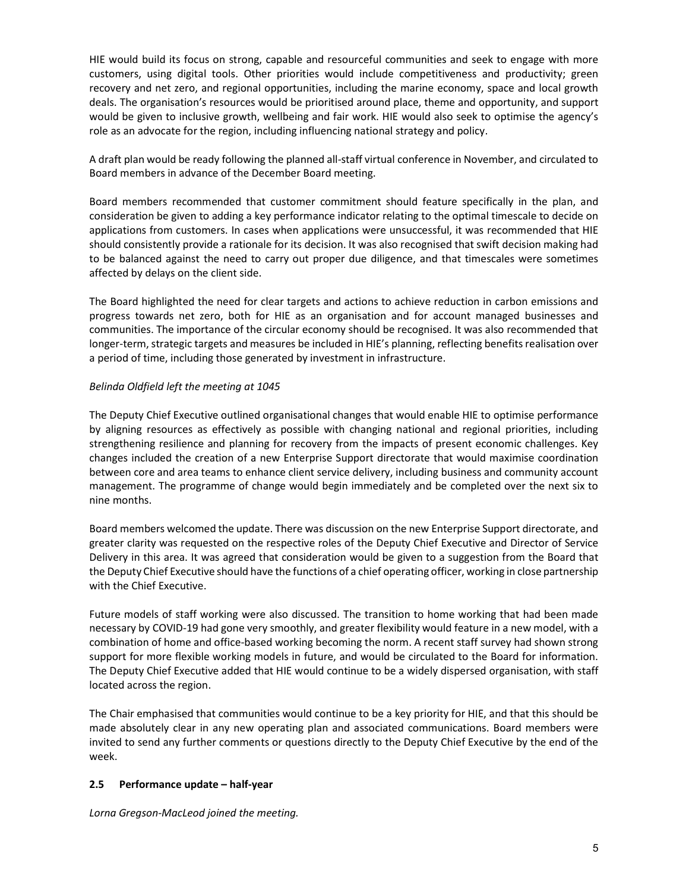HIE would build its focus on strong, capable and resourceful communities and seek to engage with more customers, using digital tools. Other priorities would include competitiveness and productivity; green recovery and net zero, and regional opportunities, including the marine economy, space and local growth deals. The organisation's resources would be prioritised around place, theme and opportunity, and support would be given to inclusive growth, wellbeing and fair work. HIE would also seek to optimise the agency's role as an advocate for the region, including influencing national strategy and policy.

A draft plan would be ready following the planned all-staff virtual conference in November, and circulated to Board members in advance of the December Board meeting.

Board members recommended that customer commitment should feature specifically in the plan, and consideration be given to adding a key performance indicator relating to the optimal timescale to decide on applications from customers. In cases when applications were unsuccessful, it was recommended that HIE should consistently provide a rationale for its decision. It was also recognised that swift decision making had to be balanced against the need to carry out proper due diligence, and that timescales were sometimes affected by delays on the client side.

The Board highlighted the need for clear targets and actions to achieve reduction in carbon emissions and progress towards net zero, both for HIE as an organisation and for account managed businesses and communities. The importance of the circular economy should be recognised. It was also recommended that longer-term, strategic targets and measures be included in HIE's planning, reflecting benefits realisation over a period of time, including those generated by investment in infrastructure.

### Belinda Oldfield left the meeting at 1045

The Deputy Chief Executive outlined organisational changes that would enable HIE to optimise performance by aligning resources as effectively as possible with changing national and regional priorities, including strengthening resilience and planning for recovery from the impacts of present economic challenges. Key changes included the creation of a new Enterprise Support directorate that would maximise coordination between core and area teams to enhance client service delivery, including business and community account management. The programme of change would begin immediately and be completed over the next six to nine months.

Board members welcomed the update. There was discussion on the new Enterprise Support directorate, and greater clarity was requested on the respective roles of the Deputy Chief Executive and Director of Service Delivery in this area. It was agreed that consideration would be given to a suggestion from the Board that the Deputy Chief Executive should have the functions of a chief operating officer, working in close partnership with the Chief Executive.

Future models of staff working were also discussed. The transition to home working that had been made necessary by COVID-19 had gone very smoothly, and greater flexibility would feature in a new model, with a combination of home and office-based working becoming the norm. A recent staff survey had shown strong support for more flexible working models in future, and would be circulated to the Board for information. The Deputy Chief Executive added that HIE would continue to be a widely dispersed organisation, with staff located across the region.

The Chair emphasised that communities would continue to be a key priority for HIE, and that this should be made absolutely clear in any new operating plan and associated communications. Board members were invited to send any further comments or questions directly to the Deputy Chief Executive by the end of the week.

## 2.5 Performance update – half-year

Lorna Gregson-MacLeod joined the meeting.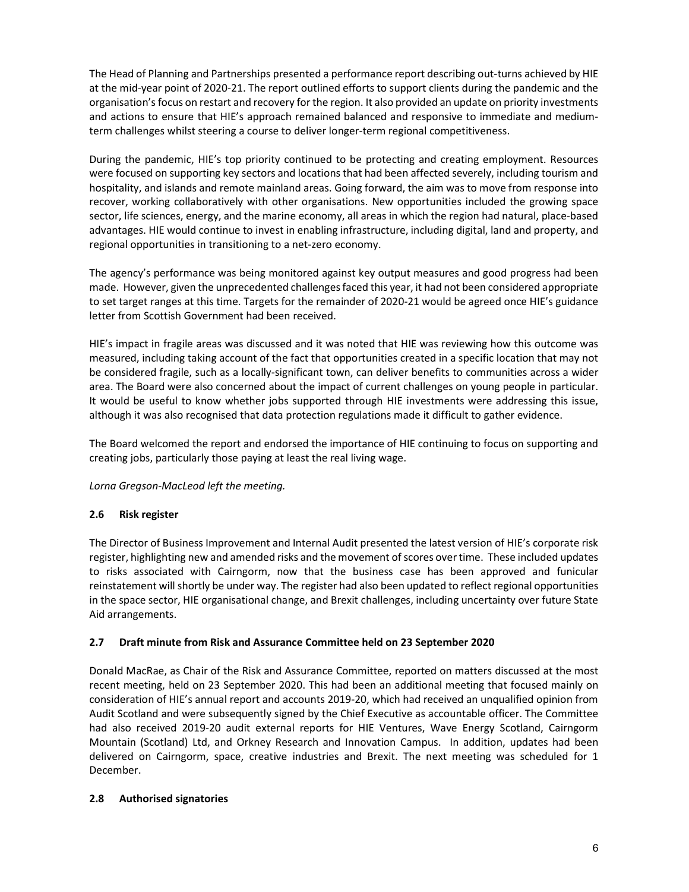The Head of Planning and Partnerships presented a performance report describing out-turns achieved by HIE at the mid-year point of 2020-21. The report outlined efforts to support clients during the pandemic and the organisation's focus on restart and recovery for the region. It also provided an update on priority investments and actions to ensure that HIE's approach remained balanced and responsive to immediate and mediumterm challenges whilst steering a course to deliver longer-term regional competitiveness.

During the pandemic, HIE's top priority continued to be protecting and creating employment. Resources were focused on supporting key sectors and locations that had been affected severely, including tourism and hospitality, and islands and remote mainland areas. Going forward, the aim was to move from response into recover, working collaboratively with other organisations. New opportunities included the growing space sector, life sciences, energy, and the marine economy, all areas in which the region had natural, place-based advantages. HIE would continue to invest in enabling infrastructure, including digital, land and property, and regional opportunities in transitioning to a net-zero economy.

The agency's performance was being monitored against key output measures and good progress had been made. However, given the unprecedented challenges faced this year, it had not been considered appropriate to set target ranges at this time. Targets for the remainder of 2020-21 would be agreed once HIE's guidance letter from Scottish Government had been received.

HIE's impact in fragile areas was discussed and it was noted that HIE was reviewing how this outcome was measured, including taking account of the fact that opportunities created in a specific location that may not be considered fragile, such as a locally-significant town, can deliver benefits to communities across a wider area. The Board were also concerned about the impact of current challenges on young people in particular. It would be useful to know whether jobs supported through HIE investments were addressing this issue, although it was also recognised that data protection regulations made it difficult to gather evidence.

The Board welcomed the report and endorsed the importance of HIE continuing to focus on supporting and creating jobs, particularly those paying at least the real living wage.

Lorna Gregson-MacLeod left the meeting.

## 2.6 Risk register

The Director of Business Improvement and Internal Audit presented the latest version of HIE's corporate risk register, highlighting new and amended risks and the movement of scores over time. These included updates to risks associated with Cairngorm, now that the business case has been approved and funicular reinstatement will shortly be under way. The register had also been updated to reflect regional opportunities in the space sector, HIE organisational change, and Brexit challenges, including uncertainty over future State Aid arrangements.

#### 2.7 Draft minute from Risk and Assurance Committee held on 23 September 2020

Donald MacRae, as Chair of the Risk and Assurance Committee, reported on matters discussed at the most recent meeting, held on 23 September 2020. This had been an additional meeting that focused mainly on consideration of HIE's annual report and accounts 2019-20, which had received an unqualified opinion from Audit Scotland and were subsequently signed by the Chief Executive as accountable officer. The Committee had also received 2019-20 audit external reports for HIE Ventures, Wave Energy Scotland, Cairngorm Mountain (Scotland) Ltd, and Orkney Research and Innovation Campus. In addition, updates had been delivered on Cairngorm, space, creative industries and Brexit. The next meeting was scheduled for 1 December.

#### 2.8 Authorised signatories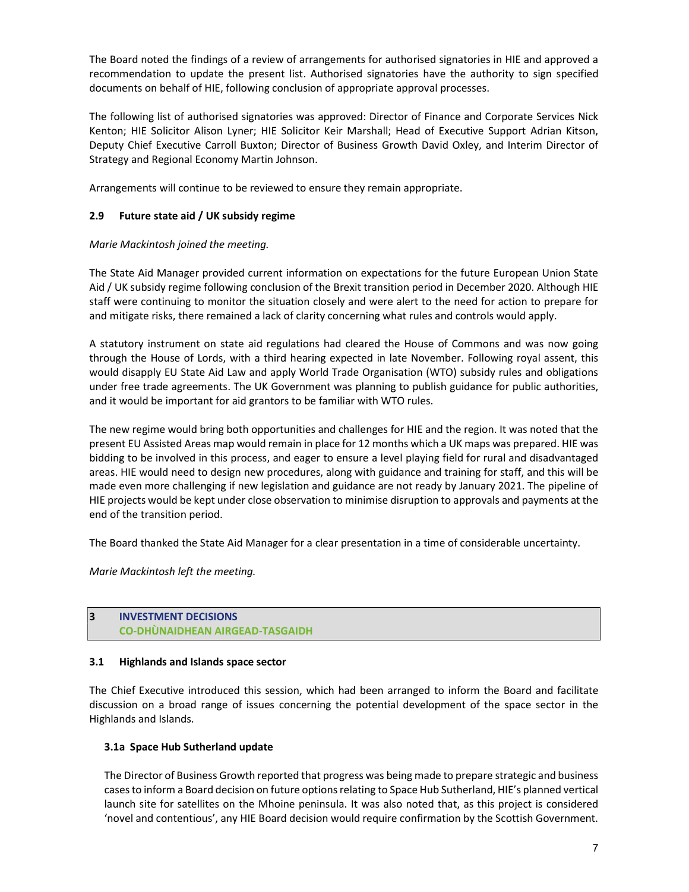The Board noted the findings of a review of arrangements for authorised signatories in HIE and approved a recommendation to update the present list. Authorised signatories have the authority to sign specified documents on behalf of HIE, following conclusion of appropriate approval processes.

The following list of authorised signatories was approved: Director of Finance and Corporate Services Nick Kenton; HIE Solicitor Alison Lyner; HIE Solicitor Keir Marshall; Head of Executive Support Adrian Kitson, Deputy Chief Executive Carroll Buxton; Director of Business Growth David Oxley, and Interim Director of Strategy and Regional Economy Martin Johnson.

Arrangements will continue to be reviewed to ensure they remain appropriate.

## 2.9 Future state aid / UK subsidy regime

### Marie Mackintosh joined the meeting.

The State Aid Manager provided current information on expectations for the future European Union State Aid / UK subsidy regime following conclusion of the Brexit transition period in December 2020. Although HIE staff were continuing to monitor the situation closely and were alert to the need for action to prepare for and mitigate risks, there remained a lack of clarity concerning what rules and controls would apply.

A statutory instrument on state aid regulations had cleared the House of Commons and was now going through the House of Lords, with a third hearing expected in late November. Following royal assent, this would disapply EU State Aid Law and apply World Trade Organisation (WTO) subsidy rules and obligations under free trade agreements. The UK Government was planning to publish guidance for public authorities, and it would be important for aid grantors to be familiar with WTO rules.

The new regime would bring both opportunities and challenges for HIE and the region. It was noted that the present EU Assisted Areas map would remain in place for 12 months which a UK maps was prepared. HIE was bidding to be involved in this process, and eager to ensure a level playing field for rural and disadvantaged areas. HIE would need to design new procedures, along with guidance and training for staff, and this will be made even more challenging if new legislation and guidance are not ready by January 2021. The pipeline of HIE projects would be kept under close observation to minimise disruption to approvals and payments at the end of the transition period.

The Board thanked the State Aid Manager for a clear presentation in a time of considerable uncertainty.

Marie Mackintosh left the meeting.

### 3 INVESTMENT DECISIONS CO-DHÙNAIDHEAN AIRGEAD-TASGAIDH

#### 3.1 Highlands and Islands space sector

The Chief Executive introduced this session, which had been arranged to inform the Board and facilitate discussion on a broad range of issues concerning the potential development of the space sector in the Highlands and Islands.

#### 3.1a Space Hub Sutherland update

The Director of Business Growth reported that progress was being made to prepare strategic and business cases to inform a Board decision on future options relating to Space Hub Sutherland, HIE's planned vertical launch site for satellites on the Mhoine peninsula. It was also noted that, as this project is considered 'novel and contentious', any HIE Board decision would require confirmation by the Scottish Government.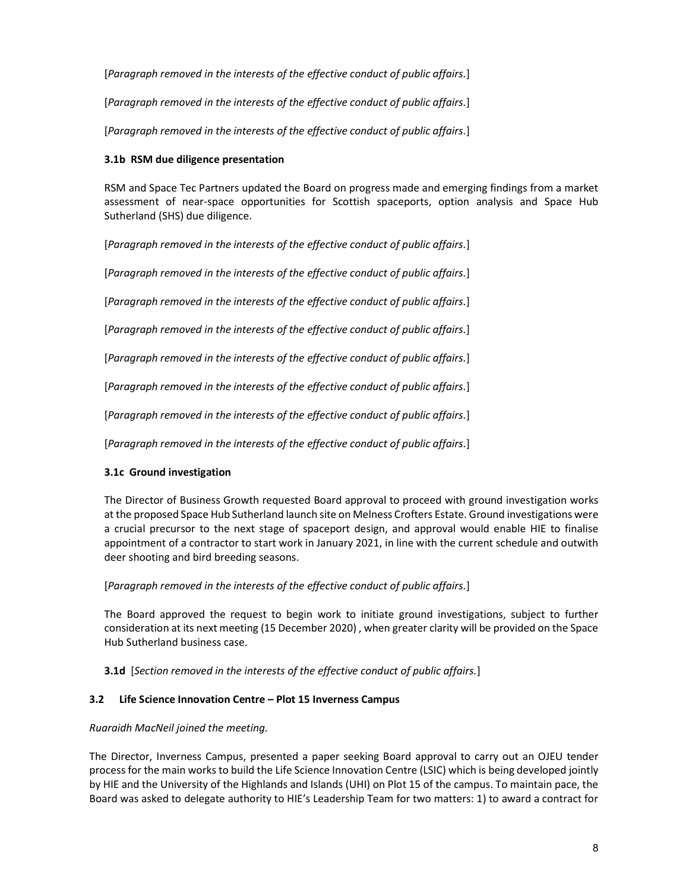[Paragraph removed in the interests of the effective conduct of public affairs.]

[Paragraph removed in the interests of the effective conduct of public affairs.]

[Paragraph removed in the interests of the effective conduct of public affairs.]

### 3.1b RSM due diligence presentation

RSM and Space Tec Partners updated the Board on progress made and emerging findings from a market assessment of near-space opportunities for Scottish spaceports, option analysis and Space Hub Sutherland (SHS) due diligence.

[Paragraph removed in the interests of the effective conduct of public affairs.]

[Paragraph removed in the interests of the effective conduct of public affairs.]

[Paragraph removed in the interests of the effective conduct of public affairs.]

[Paragraph removed in the interests of the effective conduct of public affairs.]

[Paragraph removed in the interests of the effective conduct of public affairs.]

[Paragraph removed in the interests of the effective conduct of public affairs.]

[Paragraph removed in the interests of the effective conduct of public affairs.]

[Paragraph removed in the interests of the effective conduct of public affairs.]

## 3.1c Ground investigation

The Director of Business Growth requested Board approval to proceed with ground investigation works at the proposed Space Hub Sutherland launch site on Melness Crofters Estate. Ground investigations were a crucial precursor to the next stage of spaceport design, and approval would enable HIE to finalise appointment of a contractor to start work in January 2021, in line with the current schedule and outwith deer shooting and bird breeding seasons.

## [Paragraph removed in the interests of the effective conduct of public affairs.]

The Board approved the request to begin work to initiate ground investigations, subject to further consideration at its next meeting (15 December 2020) , when greater clarity will be provided on the Space Hub Sutherland business case.

**3.1d** [Section removed in the interests of the effective conduct of public affairs.]

## 3.2 Life Science Innovation Centre – Plot 15 Inverness Campus

#### Ruaraidh MacNeil joined the meeting.

The Director, Inverness Campus, presented a paper seeking Board approval to carry out an OJEU tender process for the main works to build the Life Science Innovation Centre (LSIC) which is being developed jointly by HIE and the University of the Highlands and Islands (UHI) on Plot 15 of the campus. To maintain pace, the Board was asked to delegate authority to HIE's Leadership Team for two matters: 1) to award a contract for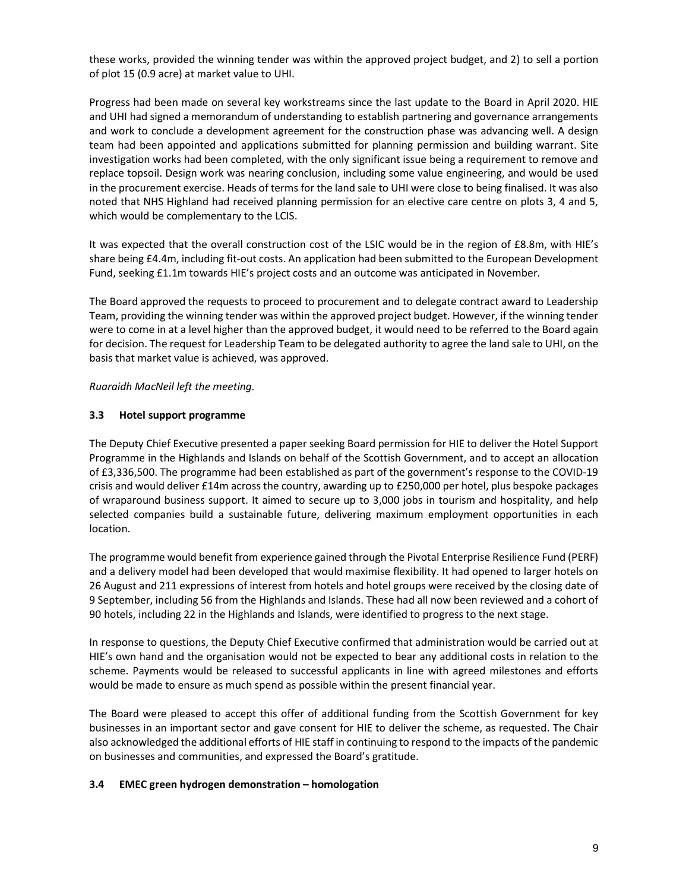these works, provided the winning tender was within the approved project budget, and 2) to sell a portion of plot 15 (0.9 acre) at market value to UHI.

Progress had been made on several key workstreams since the last update to the Board in April 2020. HIE and UHI had signed a memorandum of understanding to establish partnering and governance arrangements and work to conclude a development agreement for the construction phase was advancing well. A design team had been appointed and applications submitted for planning permission and building warrant. Site investigation works had been completed, with the only significant issue being a requirement to remove and replace topsoil. Design work was nearing conclusion, including some value engineering, and would be used in the procurement exercise. Heads of terms for the land sale to UHI were close to being finalised. It was also noted that NHS Highland had received planning permission for an elective care centre on plots 3, 4 and 5, which would be complementary to the LCIS.

It was expected that the overall construction cost of the LSIC would be in the region of £8.8m, with HIE's share being £4.4m, including fit-out costs. An application had been submitted to the European Development Fund, seeking £1.1m towards HIE's project costs and an outcome was anticipated in November.

The Board approved the requests to proceed to procurement and to delegate contract award to Leadership Team, providing the winning tender was within the approved project budget. However, if the winning tender were to come in at a level higher than the approved budget, it would need to be referred to the Board again for decision. The request for Leadership Team to be delegated authority to agree the land sale to UHI, on the basis that market value is achieved, was approved.

#### Ruaraidh MacNeil left the meeting.

### 3.3 Hotel support programme

The Deputy Chief Executive presented a paper seeking Board permission for HIE to deliver the Hotel Support Programme in the Highlands and Islands on behalf of the Scottish Government, and to accept an allocation of £3,336,500. The programme had been established as part of the government's response to the COVID-19 crisis and would deliver £14m across the country, awarding up to £250,000 per hotel, plus bespoke packages of wraparound business support. It aimed to secure up to 3,000 jobs in tourism and hospitality, and help selected companies build a sustainable future, delivering maximum employment opportunities in each location.

The programme would benefit from experience gained through the Pivotal Enterprise Resilience Fund (PERF) and a delivery model had been developed that would maximise flexibility. It had opened to larger hotels on 26 August and 211 expressions of interest from hotels and hotel groups were received by the closing date of 9 September, including 56 from the Highlands and Islands. These had all now been reviewed and a cohort of 90 hotels, including 22 in the Highlands and Islands, were identified to progress to the next stage.

In response to questions, the Deputy Chief Executive confirmed that administration would be carried out at HIE's own hand and the organisation would not be expected to bear any additional costs in relation to the scheme. Payments would be released to successful applicants in line with agreed milestones and efforts would be made to ensure as much spend as possible within the present financial year.

The Board were pleased to accept this offer of additional funding from the Scottish Government for key businesses in an important sector and gave consent for HIE to deliver the scheme, as requested. The Chair also acknowledged the additional efforts of HIE staff in continuing to respond to the impacts of the pandemic on businesses and communities, and expressed the Board's gratitude.

#### 3.4 EMEC green hydrogen demonstration – homologation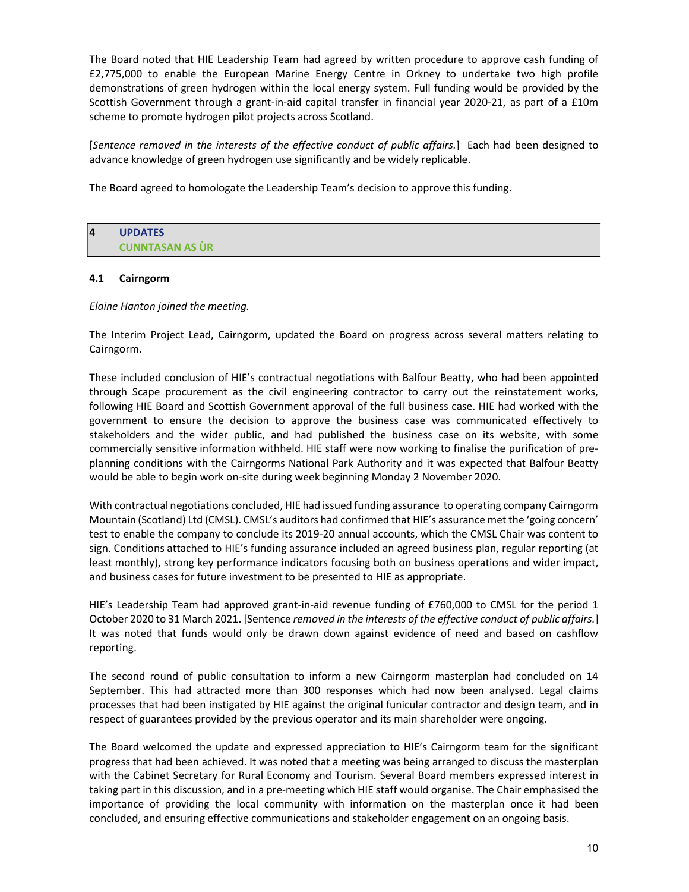The Board noted that HIE Leadership Team had agreed by written procedure to approve cash funding of £2,775,000 to enable the European Marine Energy Centre in Orkney to undertake two high profile demonstrations of green hydrogen within the local energy system. Full funding would be provided by the Scottish Government through a grant-in-aid capital transfer in financial year 2020-21, as part of a £10m scheme to promote hydrogen pilot projects across Scotland.

[Sentence removed in the interests of the effective conduct of public affairs.] Each had been designed to advance knowledge of green hydrogen use significantly and be widely replicable.

The Board agreed to homologate the Leadership Team's decision to approve this funding.

| 4 | <b>UPDATES</b>         |
|---|------------------------|
|   | <b>CUNNTASAN AS ÙR</b> |

#### 4.1 Cairngorm

Elaine Hanton joined the meeting.

The Interim Project Lead, Cairngorm, updated the Board on progress across several matters relating to Cairngorm.

These included conclusion of HIE's contractual negotiations with Balfour Beatty, who had been appointed through Scape procurement as the civil engineering contractor to carry out the reinstatement works, following HIE Board and Scottish Government approval of the full business case. HIE had worked with the government to ensure the decision to approve the business case was communicated effectively to stakeholders and the wider public, and had published the business case on its website, with some commercially sensitive information withheld. HIE staff were now working to finalise the purification of preplanning conditions with the Cairngorms National Park Authority and it was expected that Balfour Beatty would be able to begin work on-site during week beginning Monday 2 November 2020.

With contractual negotiations concluded, HIE had issued funding assurance to operating company Cairngorm Mountain (Scotland) Ltd (CMSL). CMSL's auditors had confirmed that HIE's assurance met the 'going concern' test to enable the company to conclude its 2019-20 annual accounts, which the CMSL Chair was content to sign. Conditions attached to HIE's funding assurance included an agreed business plan, regular reporting (at least monthly), strong key performance indicators focusing both on business operations and wider impact, and business cases for future investment to be presented to HIE as appropriate.

HIE's Leadership Team had approved grant-in-aid revenue funding of £760,000 to CMSL for the period 1 October 2020 to 31 March 2021. [Sentence removed in the interests of the effective conduct of public affairs.] It was noted that funds would only be drawn down against evidence of need and based on cashflow reporting.

The second round of public consultation to inform a new Cairngorm masterplan had concluded on 14 September. This had attracted more than 300 responses which had now been analysed. Legal claims processes that had been instigated by HIE against the original funicular contractor and design team, and in respect of guarantees provided by the previous operator and its main shareholder were ongoing.

The Board welcomed the update and expressed appreciation to HIE's Cairngorm team for the significant progress that had been achieved. It was noted that a meeting was being arranged to discuss the masterplan with the Cabinet Secretary for Rural Economy and Tourism. Several Board members expressed interest in taking part in this discussion, and in a pre-meeting which HIE staff would organise. The Chair emphasised the importance of providing the local community with information on the masterplan once it had been concluded, and ensuring effective communications and stakeholder engagement on an ongoing basis.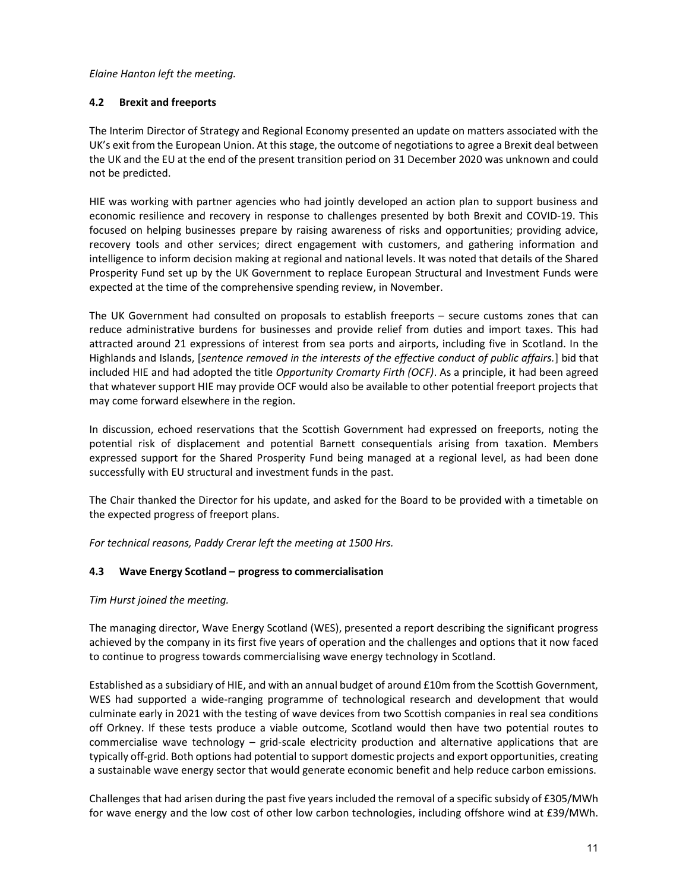Elaine Hanton left the meeting.

## 4.2 Brexit and freeports

The Interim Director of Strategy and Regional Economy presented an update on matters associated with the UK's exit from the European Union. At this stage, the outcome of negotiations to agree a Brexit deal between the UK and the EU at the end of the present transition period on 31 December 2020 was unknown and could not be predicted.

HIE was working with partner agencies who had jointly developed an action plan to support business and economic resilience and recovery in response to challenges presented by both Brexit and COVID-19. This focused on helping businesses prepare by raising awareness of risks and opportunities; providing advice, recovery tools and other services; direct engagement with customers, and gathering information and intelligence to inform decision making at regional and national levels. It was noted that details of the Shared Prosperity Fund set up by the UK Government to replace European Structural and Investment Funds were expected at the time of the comprehensive spending review, in November.

The UK Government had consulted on proposals to establish freeports – secure customs zones that can reduce administrative burdens for businesses and provide relief from duties and import taxes. This had attracted around 21 expressions of interest from sea ports and airports, including five in Scotland. In the Highlands and Islands, [sentence removed in the interests of the effective conduct of public affairs.] bid that included HIE and had adopted the title Opportunity Cromarty Firth (OCF). As a principle, it had been agreed that whatever support HIE may provide OCF would also be available to other potential freeport projects that may come forward elsewhere in the region.

In discussion, echoed reservations that the Scottish Government had expressed on freeports, noting the potential risk of displacement and potential Barnett consequentials arising from taxation. Members expressed support for the Shared Prosperity Fund being managed at a regional level, as had been done successfully with EU structural and investment funds in the past.

The Chair thanked the Director for his update, and asked for the Board to be provided with a timetable on the expected progress of freeport plans.

For technical reasons, Paddy Crerar left the meeting at 1500 Hrs.

# 4.3 Wave Energy Scotland – progress to commercialisation

## Tim Hurst joined the meeting.

The managing director, Wave Energy Scotland (WES), presented a report describing the significant progress achieved by the company in its first five years of operation and the challenges and options that it now faced to continue to progress towards commercialising wave energy technology in Scotland.

Established as a subsidiary of HIE, and with an annual budget of around £10m from the Scottish Government, WES had supported a wide-ranging programme of technological research and development that would culminate early in 2021 with the testing of wave devices from two Scottish companies in real sea conditions off Orkney. If these tests produce a viable outcome, Scotland would then have two potential routes to commercialise wave technology – grid-scale electricity production and alternative applications that are typically off-grid. Both options had potential to support domestic projects and export opportunities, creating a sustainable wave energy sector that would generate economic benefit and help reduce carbon emissions.

Challenges that had arisen during the past five years included the removal of a specific subsidy of £305/MWh for wave energy and the low cost of other low carbon technologies, including offshore wind at £39/MWh.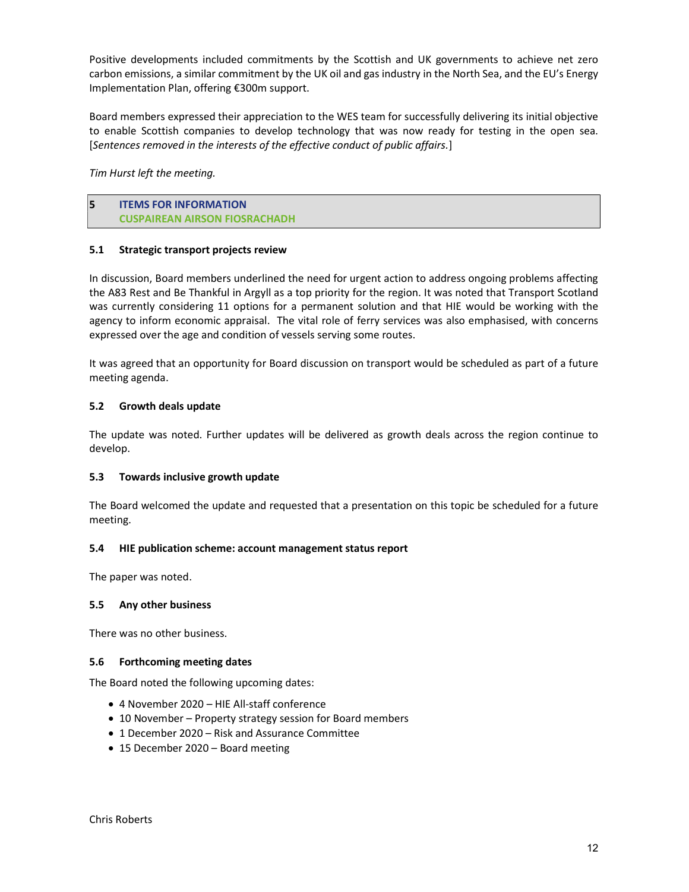Positive developments included commitments by the Scottish and UK governments to achieve net zero carbon emissions, a similar commitment by the UK oil and gas industry in the North Sea, and the EU's Energy Implementation Plan, offering €300m support.

Board members expressed their appreciation to the WES team for successfully delivering its initial objective to enable Scottish companies to develop technology that was now ready for testing in the open sea. [Sentences removed in the interests of the effective conduct of public affairs.]

Tim Hurst left the meeting.

5 ITEMS FOR INFORMATION CUSPAIREAN AIRSON FIOSRACHADH

### 5.1 Strategic transport projects review

In discussion, Board members underlined the need for urgent action to address ongoing problems affecting the A83 Rest and Be Thankful in Argyll as a top priority for the region. It was noted that Transport Scotland was currently considering 11 options for a permanent solution and that HIE would be working with the agency to inform economic appraisal. The vital role of ferry services was also emphasised, with concerns expressed over the age and condition of vessels serving some routes.

It was agreed that an opportunity for Board discussion on transport would be scheduled as part of a future meeting agenda.

### 5.2 Growth deals update

The update was noted. Further updates will be delivered as growth deals across the region continue to develop.

#### 5.3 Towards inclusive growth update

The Board welcomed the update and requested that a presentation on this topic be scheduled for a future meeting.

#### 5.4 HIE publication scheme: account management status report

The paper was noted.

#### 5.5 Any other business

There was no other business.

#### 5.6 Forthcoming meeting dates

The Board noted the following upcoming dates:

- 4 November 2020 HIE All-staff conference
- 10 November Property strategy session for Board members
- 1 December 2020 Risk and Assurance Committee
- 15 December 2020 Board meeting